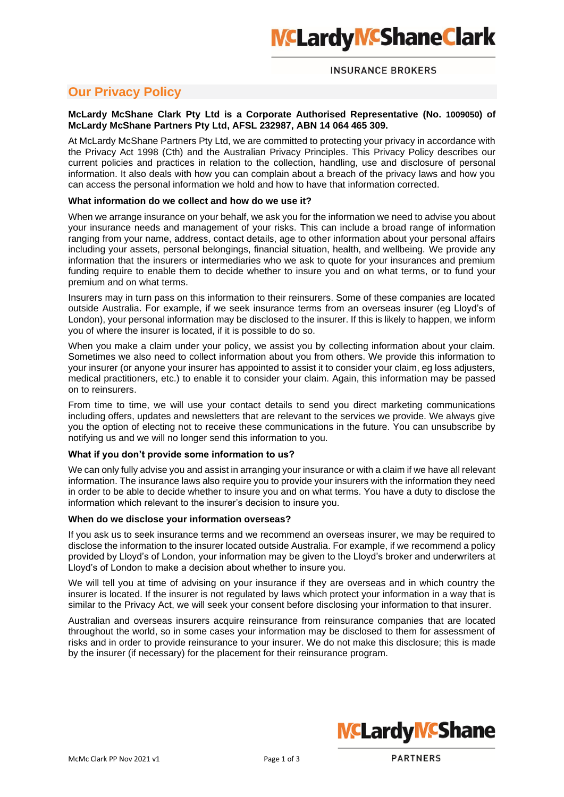## INSURANCE BROKERS

# **Our Privacy Policy**

**McLardy McShane Clark Pty Ltd is a Corporate Authorised Representative (No. 1009050) of McLardy McShane Partners Pty Ltd, AFSL 232987, ABN 14 064 465 309.**

At McLardy McShane Partners Pty Ltd, we are committed to protecting your privacy in accordance with the Privacy Act 1998 (Cth) and the Australian Privacy Principles. This Privacy Policy describes our current policies and practices in relation to the collection, handling, use and disclosure of personal information. It also deals with how you can complain about a breach of the privacy laws and how you can access the personal information we hold and how to have that information corrected.

## **What information do we collect and how do we use it?**

When we arrange insurance on your behalf, we ask you for the information we need to advise you about your insurance needs and management of your risks. This can include a broad range of information ranging from your name, address, contact details, age to other information about your personal affairs including your assets, personal belongings, financial situation, health, and wellbeing. We provide any information that the insurers or intermediaries who we ask to quote for your insurances and premium funding require to enable them to decide whether to insure you and on what terms, or to fund your premium and on what terms.

Insurers may in turn pass on this information to their reinsurers. Some of these companies are located outside Australia. For example, if we seek insurance terms from an overseas insurer (eg Lloyd's of London), your personal information may be disclosed to the insurer. If this is likely to happen, we inform you of where the insurer is located, if it is possible to do so.

When you make a claim under your policy, we assist you by collecting information about your claim. Sometimes we also need to collect information about you from others. We provide this information to your insurer (or anyone your insurer has appointed to assist it to consider your claim, eg loss adjusters, medical practitioners, etc.) to enable it to consider your claim. Again, this information may be passed on to reinsurers.

From time to time, we will use your contact details to send you direct marketing communications including offers, updates and newsletters that are relevant to the services we provide. We always give you the option of electing not to receive these communications in the future. You can unsubscribe by notifying us and we will no longer send this information to you.

## **What if you don't provide some information to us?**

We can only fully advise you and assist in arranging your insurance or with a claim if we have all relevant information. The insurance laws also require you to provide your insurers with the information they need in order to be able to decide whether to insure you and on what terms. You have a duty to disclose the information which relevant to the insurer's decision to insure you.

#### **When do we disclose your information overseas?**

If you ask us to seek insurance terms and we recommend an overseas insurer, we may be required to disclose the information to the insurer located outside Australia. For example, if we recommend a policy provided by Lloyd's of London, your information may be given to the Lloyd's broker and underwriters at Lloyd's of London to make a decision about whether to insure you.

We will tell you at time of advising on your insurance if they are overseas and in which country the insurer is located. If the insurer is not regulated by laws which protect your information in a way that is similar to the Privacy Act, we will seek your consent before disclosing your information to that insurer.

Australian and overseas insurers acquire reinsurance from reinsurance companies that are located throughout the world, so in some cases your information may be disclosed to them for assessment of risks and in order to provide reinsurance to your insurer. We do not make this disclosure; this is made by the insurer (if necessary) for the placement for their reinsurance program.

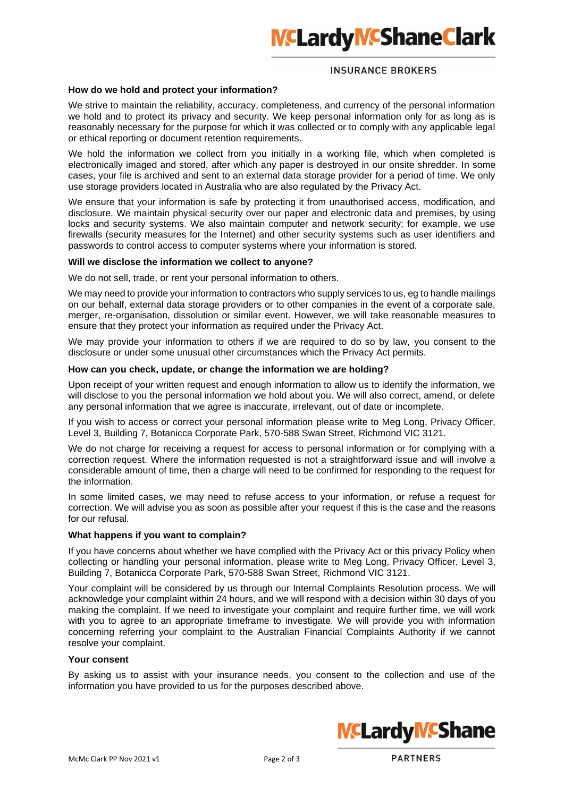## **INSURANCE BROKERS**

## **How do we hold and protect your information?**

We strive to maintain the reliability, accuracy, completeness, and currency of the personal information we hold and to protect its privacy and security. We keep personal information only for as long as is reasonably necessary for the purpose for which it was collected or to comply with any applicable legal or ethical reporting or document retention requirements.

We hold the information we collect from you initially in a working file, which when completed is electronically imaged and stored, after which any paper is destroyed in our onsite shredder. In some cases, your file is archived and sent to an external data storage provider for a period of time. We only use storage providers located in Australia who are also regulated by the Privacy Act.

We ensure that your information is safe by protecting it from unauthorised access, modification, and disclosure. We maintain physical security over our paper and electronic data and premises, by using locks and security systems. We also maintain computer and network security; for example, we use firewalls (security measures for the Internet) and other security systems such as user identifiers and passwords to control access to computer systems where your information is stored.

### **Will we disclose the information we collect to anyone?**

We do not sell, trade, or rent your personal information to others.

We may need to provide your information to contractors who supply services to us, eg to handle mailings on our behalf, external data storage providers or to other companies in the event of a corporate sale, merger, re-organisation, dissolution or similar event. However, we will take reasonable measures to ensure that they protect your information as required under the Privacy Act.

We may provide your information to others if we are required to do so by law, you consent to the disclosure or under some unusual other circumstances which the Privacy Act permits.

## **How can you check, update, or change the information we are holding?**

Upon receipt of your written request and enough information to allow us to identify the information, we will disclose to you the personal information we hold about you. We will also correct, amend, or delete any personal information that we agree is inaccurate, irrelevant, out of date or incomplete.

If you wish to access or correct your personal information please write to Meg Long, Privacy Officer, Level 3, Building 7, Botanicca Corporate Park, 570-588 Swan Street, Richmond VIC 3121.

We do not charge for receiving a request for access to personal information or for complying with a correction request. Where the information requested is not a straightforward issue and will involve a considerable amount of time, then a charge will need to be confirmed for responding to the request for the information.

In some limited cases, we may need to refuse access to your information, or refuse a request for correction. We will advise you as soon as possible after your request if this is the case and the reasons for our refusal.

#### **What happens if you want to complain?**

If you have concerns about whether we have complied with the Privacy Act or this privacy Policy when collecting or handling your personal information, please write to Meg Long, Privacy Officer, Level 3, Building 7, Botanicca Corporate Park, 570-588 Swan Street, Richmond VIC 3121.

Your complaint will be considered by us through our Internal Complaints Resolution process. We will acknowledge your complaint within 24 hours, and we will respond with a decision within 30 days of you making the complaint. If we need to investigate your complaint and require further time, we will work with you to agree to an appropriate timeframe to investigate. We will provide you with information concerning referring your complaint to the Australian Financial Complaints Authority if we cannot resolve your complaint.

## **Your consent**

By asking us to assist with your insurance needs, you consent to the collection and use of the information you have provided to us for the purposes described above.